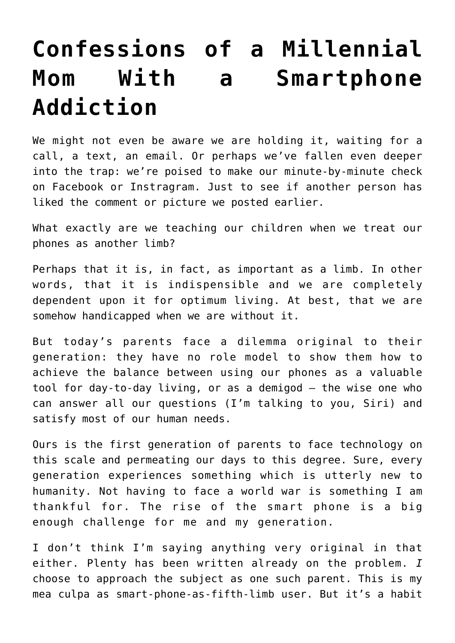## **[Confessions of a Millennial](https://intellectualtakeout.org/2017/09/confessions-of-a-millennial-mom-with-a-smartphone-addiction/) [Mom With a Smartphone](https://intellectualtakeout.org/2017/09/confessions-of-a-millennial-mom-with-a-smartphone-addiction/) [Addiction](https://intellectualtakeout.org/2017/09/confessions-of-a-millennial-mom-with-a-smartphone-addiction/)**

We might not even be aware we are holding it, waiting for a call, a text, an email. Or perhaps we've fallen even deeper into the trap: we're poised to make our minute-by-minute check on Facebook or Instragram. Just to see if another person has liked the comment or picture we posted earlier.

What exactly are we teaching our children when we treat our phones as another limb?

Perhaps that it is, in fact, as important as a limb. In other words, that it is indispensible and we are completely dependent upon it for optimum living. At best, that we are somehow handicapped when we are without it.

But today's parents face a dilemma original to their generation: they have no role model to show them how to achieve the balance between using our phones as a valuable tool for day-to-day living, or as a demigod – the wise one who can answer all our questions (I'm talking to you, Siri) and satisfy most of our human needs.

Ours is the first generation of parents to face technology on this scale and permeating our days to this degree. Sure, every generation experiences something which is utterly new to humanity. Not having to face a world war is something I am thankful for. The rise of the smart phone is a big enough challenge for me and my generation.

I don't think I'm saying anything very original in that either. Plenty has been written already on the problem. *I* choose to approach the subject as one such parent. This is my mea culpa as smart-phone-as-fifth-limb user. But it's a habit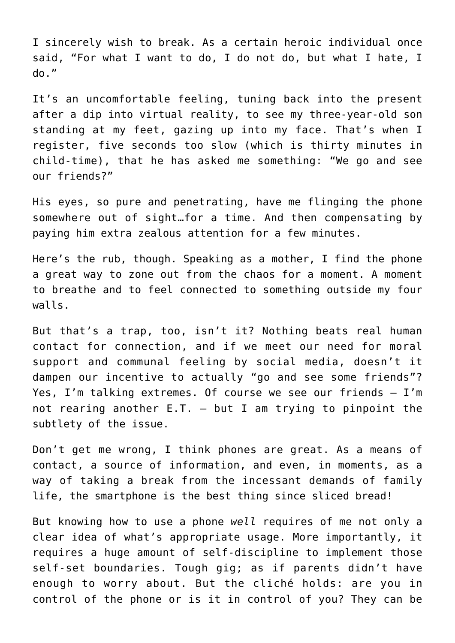I sincerely wish to break. As a certain heroic individual once said, "For what I want to do, I do not do, but what I hate, I do."

It's an uncomfortable feeling, tuning back into the present after a dip into virtual reality, to see my three-year-old son standing at my feet, gazing up into my face. That's when I register, five seconds too slow (which is thirty minutes in child-time), that he has asked me something: "We go and see our friends?"

His eyes, so pure and penetrating, have me flinging the phone somewhere out of sight…for a time. And then compensating by paying him extra zealous attention for a few minutes.

Here's the rub, though. Speaking as a mother, I find the phone a great way to zone out from the chaos for a moment. A moment to breathe and to feel connected to something outside my four walls.

But that's a trap, too, isn't it? Nothing beats real human contact for connection, and if we meet our need for moral support and communal feeling by social media, doesn't it dampen our incentive to actually "go and see some friends"? Yes, I'm talking extremes. Of course we see our friends — I'm not rearing another  $E.T. - but I$  am trying to pinpoint the subtlety of the issue.

Don't get me wrong, I think phones are great. As a means of contact, a source of information, and even, in moments, as a way of taking a break from the incessant demands of family life, the smartphone is the best thing since sliced bread!

But knowing how to use a phone *well* requires of me not only a clear idea of what's appropriate usage. More importantly, it requires a huge amount of self-discipline to implement those self-set boundaries. Tough gig; as if parents didn't have enough to worry about. But the cliché holds: are you in control of the phone or is it in control of you? They can be